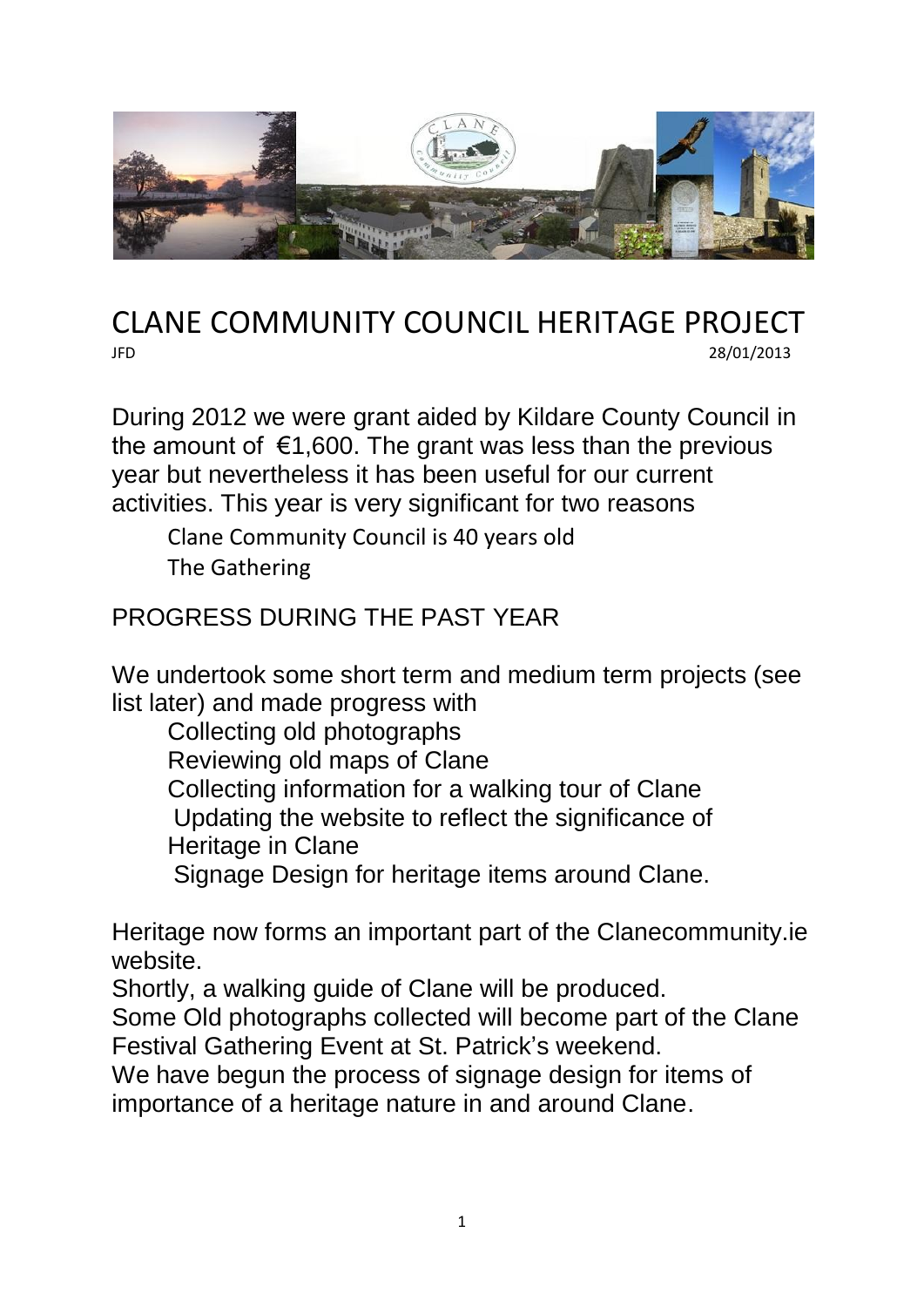

## CLANE COMMUNITY COUNCIL HERITAGE PROJECT JFD 28/01/2013

During 2012 we were grant aided by Kildare County Council in the amount of  $\epsilon$ 1,600. The grant was less than the previous year but nevertheless it has been useful for our current activities. This year is very significant for two reasons

Clane Community Council is 40 years old The Gathering

## PROGRESS DURING THE PAST YEAR

We undertook some short term and medium term projects (see list later) and made progress with

Collecting old photographs

Reviewing old maps of Clane

Collecting information for a walking tour of Clane

Updating the website to reflect the significance of

Heritage in Clane

Signage Design for heritage items around Clane.

Heritage now forms an important part of the Clanecommunity.ie website.

Shortly, a walking guide of Clane will be produced.

Some Old photographs collected will become part of the Clane Festival Gathering Event at St. Patrick's weekend.

We have begun the process of signage design for items of importance of a heritage nature in and around Clane.